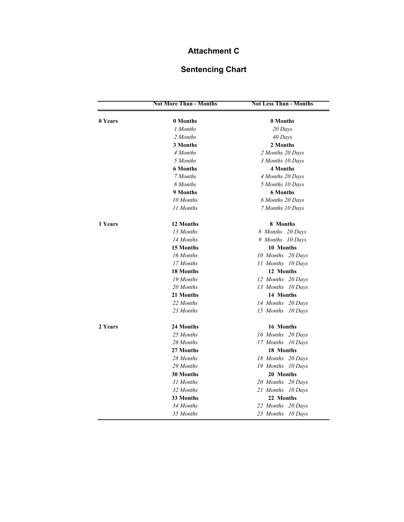## **Attachment C**

## **Sentencing Chart**

|         | <b>Not More Than - Months</b> | <b>Not Less Than - Months</b> |
|---------|-------------------------------|-------------------------------|
| 0 Years | 0 Months                      | 0 Months                      |
|         | 1 Months                      | 20 Days                       |
|         | 2 Months                      | 40 Days                       |
|         | 3 Months                      | 2 Months                      |
|         | 4 Months                      | 2 Months 20 Days              |
|         | 5 Months                      | 3 Months 10 Days              |
|         | <b>6 Months</b>               | <b>4 Months</b>               |
|         | 7 Months                      | 4 Months 20 Days              |
|         | 8 Months                      | 5 Months 10 Days              |
|         | 9 Months                      | <b>6 Months</b>               |
|         | 10 Months                     | 6 Months 20 Days              |
|         | 11 Months                     | 7 Months 10 Days              |
| 1 Years | 12 Months                     | 8 Months                      |
|         | 13 Months                     | 8 Months 20 Days              |
|         | 14 Months                     | 9 Months 10 Days              |
|         | 15 Months                     | 10 Months                     |
|         | 16 Months                     | 10 Months 20 Days             |
|         | 17 Months                     | 11 Months 10 Days             |
|         | <b>18 Months</b>              | 12 Months                     |
|         | 19 Months                     | 12 Months 20 Days             |
|         | 20 Months                     | 13 Months 10 Days             |
|         | 21 Months                     | 14 Months                     |
|         | 22 Months                     | 14 Months 20 Days             |
|         | 23 Months                     | 15 Months 10 Days             |
| 2 Years | 24 Months                     | 16 Months                     |
|         | 25 Months                     | 16 Months 20 Days             |
|         | 26 Months                     | 17 Months 10 Days             |
|         | 27 Months                     | 18 Months                     |
|         | 28 Months                     | 18 Months 20 Days             |
|         | 29 Months                     | 19 Months 10 Days             |
|         | <b>30 Months</b>              | 20 Months                     |
|         | 31 Months                     | 20 Months 20 Days             |
|         | 32 Months                     | 21 Months 10 Days             |
|         | 33 Months                     | 22 Months                     |
|         | 34 Months                     | 22 Months 20 Days             |
|         | 35 Months                     | 23 Months 10 Days             |
|         |                               |                               |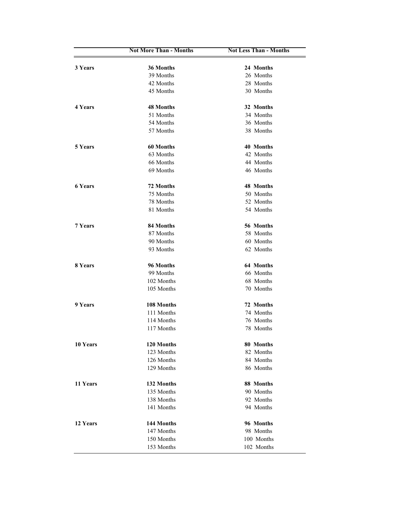|                | <b>Not More Than - Months</b> | <b>Not Less Than - Months</b> |
|----------------|-------------------------------|-------------------------------|
| 3 Years        | 36 Months                     | 24 Months                     |
|                | 39 Months                     | 26 Months                     |
|                | 42 Months                     | 28 Months                     |
|                | 45 Months                     | 30 Months                     |
|                |                               |                               |
| 4 Years        | <b>48 Months</b>              | 32 Months                     |
|                | 51 Months                     | 34 Months                     |
|                | 54 Months                     | 36 Months                     |
|                | 57 Months                     | 38 Months                     |
| 5 Years        | 60 Months                     | 40 Months                     |
|                | 63 Months                     | 42 Months                     |
|                | 66 Months                     | 44 Months                     |
|                | 69 Months                     | 46 Months                     |
|                |                               |                               |
| <b>6 Years</b> | 72 Months                     | <b>48 Months</b>              |
|                | 75 Months                     | 50 Months                     |
|                | 78 Months                     | 52 Months                     |
|                | 81 Months                     | 54 Months                     |
| 7 Years        | 84 Months                     | 56 Months                     |
|                | 87 Months                     | 58 Months                     |
|                | 90 Months                     | 60 Months                     |
|                | 93 Months                     | 62 Months                     |
| 8 Years        | 96 Months                     | 64 Months                     |
|                | 99 Months                     | 66 Months                     |
|                | 102 Months                    | 68 Months                     |
|                | 105 Months                    | 70 Months                     |
| 9 Years        | 108 Months                    | 72 Months                     |
|                | 111 Months                    | 74 Months                     |
|                | 114 Months                    | 76 Months                     |
|                | 117 Months                    | 78 Months                     |
|                |                               |                               |
| 10 Years       | 120 Months                    | 80 Months                     |
|                | 123 Months                    | 82 Months                     |
|                | 126 Months                    | 84 Months                     |
|                | 129 Months                    | 86 Months                     |
| 11 Years       | 132 Months                    | 88 Months                     |
|                | 135 Months                    | 90 Months                     |
|                | 138 Months                    | 92 Months                     |
|                | 141 Months                    | 94 Months                     |
| 12 Years       | 144 Months                    | 96 Months                     |
|                | 147 Months                    | 98 Months                     |
|                | 150 Months                    | 100 Months                    |
|                | 153 Months                    | 102 Months                    |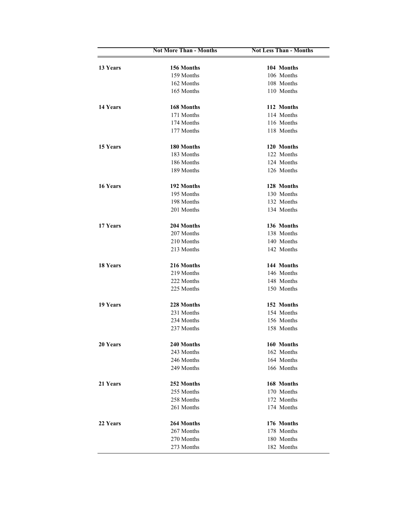|          | <b>Not More Than - Months</b> | <b>Not Less Than - Months</b> |
|----------|-------------------------------|-------------------------------|
| 13 Years | 156 Months                    | 104 Months                    |
|          | 159 Months                    | 106 Months                    |
|          | 162 Months                    | 108 Months                    |
|          | 165 Months                    | 110 Months                    |
|          |                               |                               |
| 14 Years | 168 Months                    | 112 Months                    |
|          | 171 Months                    | 114 Months                    |
|          | 174 Months                    | 116 Months                    |
|          | 177 Months                    | 118 Months                    |
| 15 Years | 180 Months                    | 120 Months                    |
|          | 183 Months                    | 122 Months                    |
|          | 186 Months                    | 124 Months                    |
|          | 189 Months                    | 126 Months                    |
|          |                               |                               |
| 16 Years | 192 Months                    | 128 Months                    |
|          | 195 Months                    | 130 Months                    |
|          | 198 Months                    | 132 Months                    |
|          | 201 Months                    | 134 Months                    |
| 17 Years | 204 Months                    | 136 Months                    |
|          | 207 Months                    | 138 Months                    |
|          | 210 Months                    | 140 Months                    |
|          | 213 Months                    | 142 Months                    |
| 18 Years | 216 Months                    | 144 Months                    |
|          | 219 Months                    | 146 Months                    |
|          | 222 Months                    | 148 Months                    |
|          |                               |                               |
|          | 225 Months                    | 150 Months                    |
| 19 Years | 228 Months                    | 152 Months                    |
|          | 231 Months                    | 154 Months                    |
|          | 234 Months                    | 156 Months                    |
|          | 237 Months                    | 158 Months                    |
| 20 Years | 240 Months                    | 160 Months                    |
|          | 243 Months                    | 162 Months                    |
|          | 246 Months                    | 164 Months                    |
|          | 249 Months                    | 166 Months                    |
|          |                               |                               |
| 21 Years | 252 Months                    | 168 Months                    |
|          | 255 Months                    | 170 Months                    |
|          | 258 Months                    | 172 Months                    |
|          | 261 Months                    | 174 Months                    |
| 22 Years | 264 Months                    | 176 Months                    |
|          | 267 Months                    | 178 Months                    |
|          | 270 Months                    | 180 Months                    |
|          | 273 Months                    | 182 Months                    |